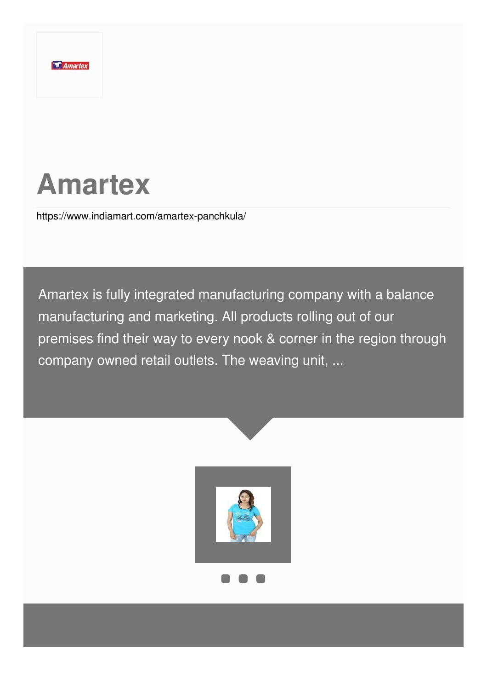

# **Amartex**

<https://www.indiamart.com/amartex-panchkula/>

Amartex is fully integrated manufacturing company with a balance manufacturing and marketing. All products rolling out of our premises find their way to every nook & corner in the region through company owned retail outlets. The weaving unit, ...

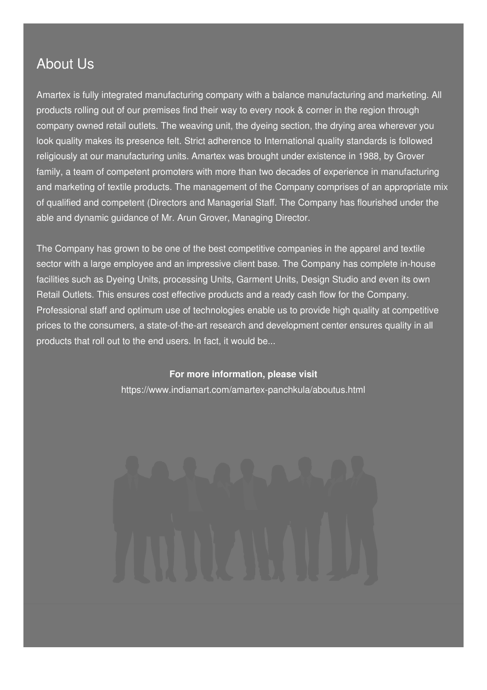### About Us

Amartex is fully integrated manufacturing company with a balance manufacturing and marketing. All products rolling out of our premises find their way to every nook & corner in the region through company owned retail outlets. The weaving unit, the dyeing section, the drying area wherever you look quality makes its presence felt. Strict adherence to International quality standards is followed religiously at our manufacturing units. Amartex was brought under existence in 1988, by Grover family, a team of competent promoters with more than two decades of experience in manufacturing and marketing of textile products. The management of the Company comprises of an appropriate mix of qualified and competent (Directors and Managerial Staff. The Company has flourished under the able and dynamic guidance of Mr. Arun Grover, Managing Director.

The Company has grown to be one of the best competitive companies in the apparel and textile sector with a large employee and an impressive client base. The Company has complete in-house facilities such as Dyeing Units, processing Units, Garment Units, Design Studio and even its own Retail Outlets. This ensures cost effective products and a ready cash flow for the Company. Professional staff and optimum use of technologies enable us to provide high quality at competitive prices to the consumers, a state-of-the-art research and development center ensures quality in all products that roll out to the end users. In fact, it would be...

#### **For more information, please visit**

<https://www.indiamart.com/amartex-panchkula/aboutus.html>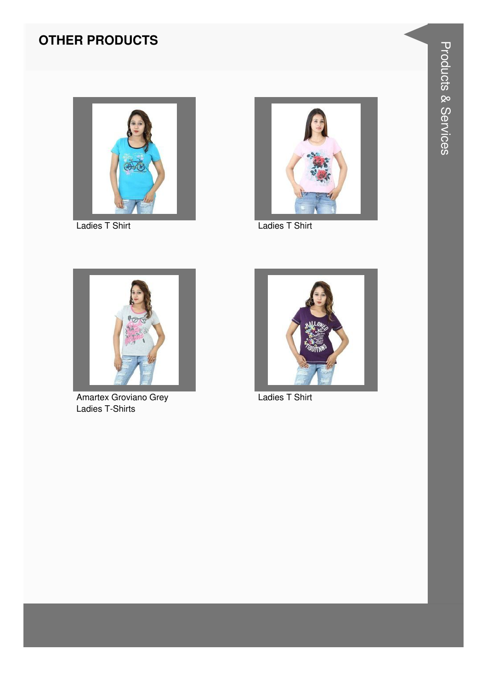### **OTHER PRODUCTS**



**Ladies T Shirt** 



**Ladies T Shirt** 



Amartex Groviano Grey Ladies T-Shirts



Ladies T Shirt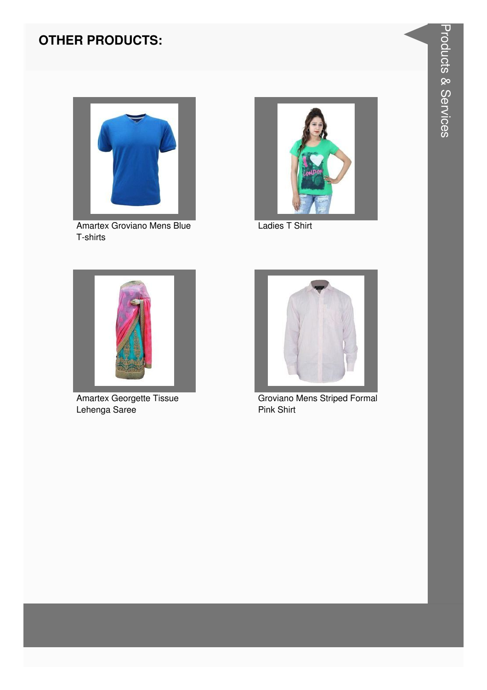#### **OTHER PRODUCTS:**



Amartex Groviano Mens Blue T-shirts



Ladies T Shirt



Amartex Georgette Tissue Lehenga Saree



Groviano Mens Striped Formal Pink Shirt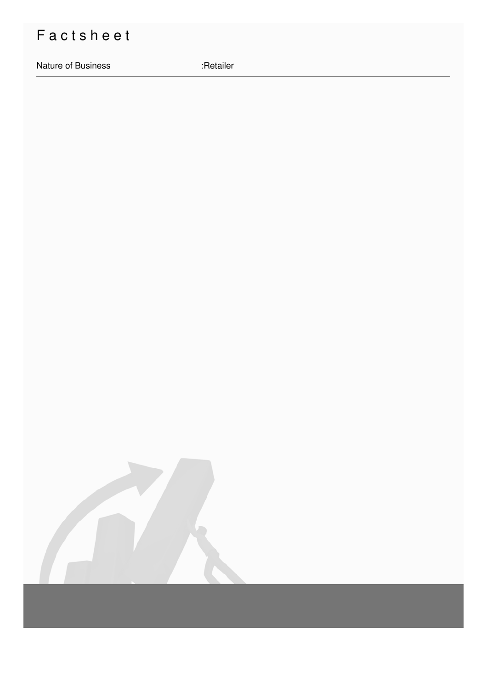## Factsheet

Nature of Business

:Retailer